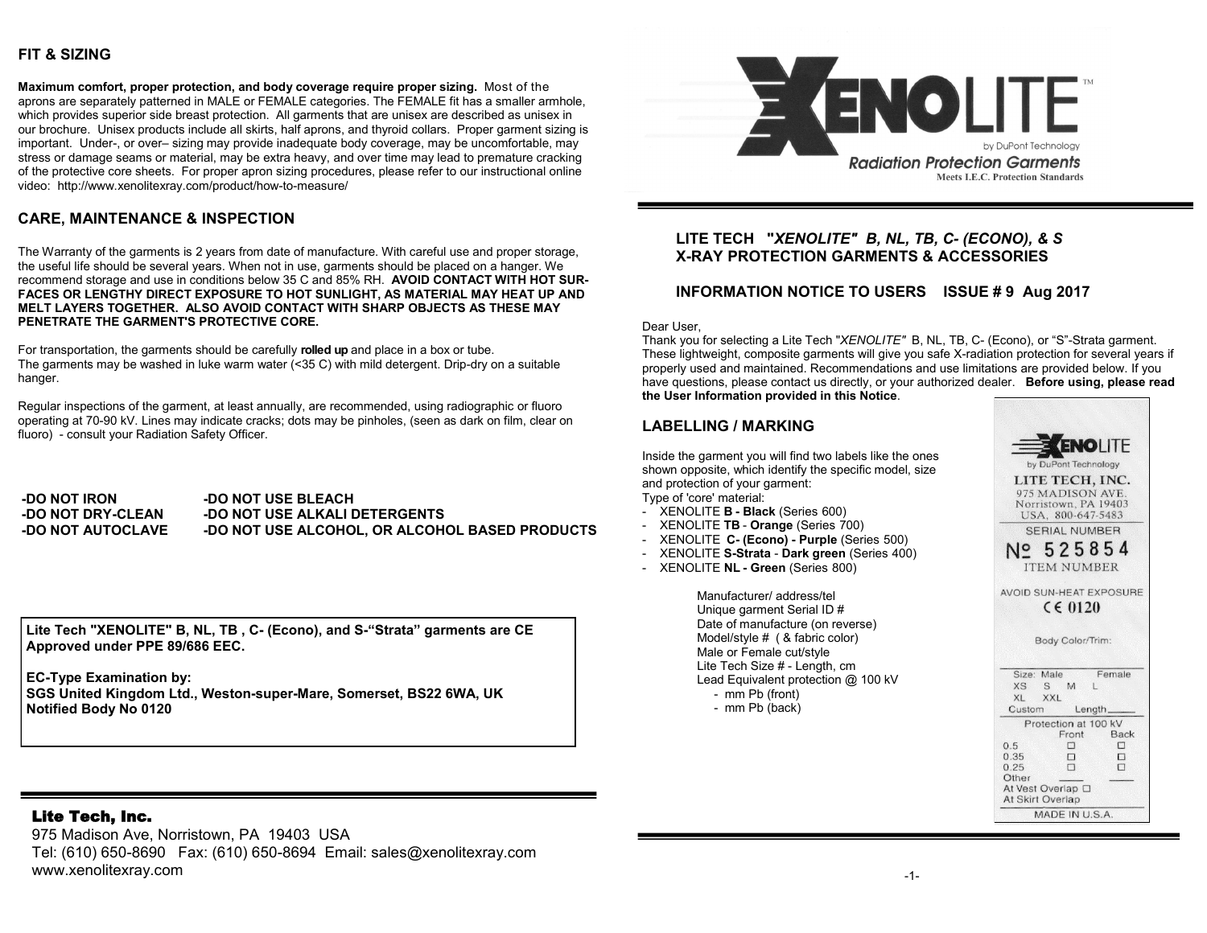## **FIT & SIZING**

**Maximum comfort, proper protection, and body coverage require proper sizing.** Most of the aprons are separately patterned in MALE or FEMALE categories. The FEMALE fit has a smaller armhole, which provides superior side breast protection. All garments that are unisex are described as unisex in our brochure. Unisex products include all skirts, half aprons, and thyroid collars. Proper garment sizing is important. Under-, or over– sizing may provide inadequate body coverage, may be uncomfortable, may stress or damage seams or material, may be extra heavy, and over time may lead to premature cracking of the protective core sheets. For proper apron sizing procedures, please refer to our instructional online video: http://www.xenolitexray.com/product/how-to-measure/

# **CARE, MAINTENANCE & INSPECTION**

The Warranty of the garments is 2 years from date of manufacture. With careful use and proper storage, the useful life should be several years. When not in use, garments should be placed on a hanger. We recommend storage and use in conditions below 35 C and 85% RH. **AVOID CONTACT WITH HOT SUR-FACES OR LENGTHY DIRECT EXPOSURE TO HOT SUNLIGHT, AS MATERIAL MAY HEAT UP AND MELT LAYERS TOGETHER. ALSO AVOID CONTACT WITH SHARP OBJECTS AS THESE MAY PENETRATE THE GARMENT'S PROTECTIVE CORE.** 

For transportation, the garments should be carefully **rolled up** and place in a box or tube. The garments may be washed in luke warm water (<35 C) with mild detergent. Drip-dry on a suitable hanger.

Regular inspections of the garment, at least annually, are recommended, using radiographic or fluoro operating at 70-90 kV. Lines may indicate cracks; dots may be pinholes, (seen as dark on film, clear on fluoro) - consult your Radiation Safety Officer.

**-DO NOT IRON -DO NOT DRY-CLEAN -DO NOT AUTOCLAVE -DO NOT USE BLEACH -DO NOT USE ALKALI DETERGENTS -DO NOT USE ALCOHOL, OR ALCOHOL BASED PRODUCTS**

**Lite Tech "XENOLITE" B, NL, TB , C- (Econo), and S-"Strata" garments are CE Approved under PPE 89/686 EEC.** 

**EC-Type Examination by: SGS United Kingdom Ltd., Weston-super-Mare, Somerset, BS22 6WA, UK Notified Body No 0120** 

## Lite Tech, Inc.

975 Madison Ave, Norristown, PA 19403 USA Tel: (610) 650-8690 Fax: (610) 650-8694 Email: sales@xenolitexray.com www.xenolitexray.com



### **LITE TECH "***XENOLITE" B, NL, TB, C- (ECONO), & S*  **X-RAY PROTECTION GARMENTS & ACCESSORIES**

### **INFORMATION NOTICE TO USERS ISSUE # 9 Aug 2017**

Dear User,

Thank you for selecting a Lite Tech "*XENOLITE"* B, NL, TB, C- (Econo), or "S"-Strata garment. These lightweight, composite garments will give you safe X-radiation protection for several years if properly used and maintained. Recommendations and use limitations are provided below. If you have questions, please contact us directly, or your authorized dealer. **Before using, please read the User Information provided in this Notice**.

# **LABELLING / MARKING**

Inside the garment you will find two labels like the ones shown opposite, which identify the specific model, size and protection of your garment: Type of 'core' material:

- XENOLITE **B - Black** (Series 600)
- XENOLITE **TB Orange** (Series 700)
- XENOLITE **C- (Econo) - Purple** (Series 500)
- XENOLITE **S-Strata Dark green** (Series 400)
- XENOLITE **NL - Green** (Series 800)

Manufacturer/ address/tel Unique garment Serial ID # Date of manufacture (on reverse) Model/style # ( & fabric color) Male or Female cut/style Lite Tech Size # - Length, cm Lead Equivalent protection @ 100 kV - mm Pb (front)

- mm Pb (back)